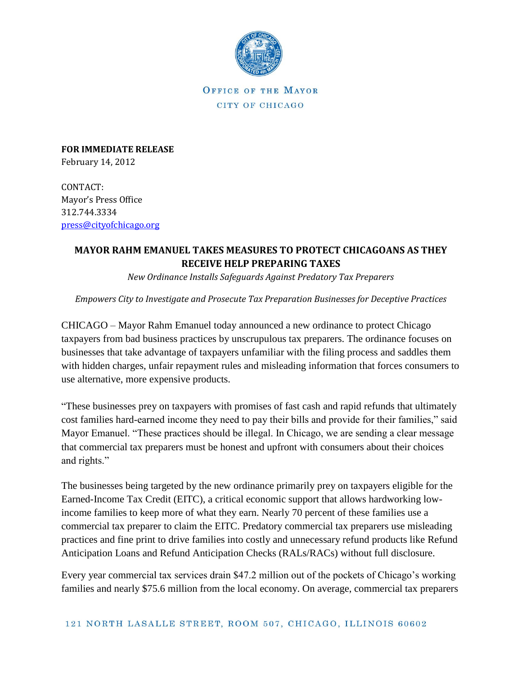

OFFICE OF THE MAYOR CITY OF CHICAGO

**FOR IMMEDIATE RELEASE** February 14, 2012

CONTACT: Mayor's Press Office 312.744.3334 [press@cityofchicago.org](mailto:press@cityofchicago.org)

## **MAYOR RAHM EMANUEL TAKES MEASURES TO PROTECT CHICAGOANS AS THEY RECEIVE HELP PREPARING TAXES**

*New Ordinance Installs Safeguards Against Predatory Tax Preparers*

*Empowers City to Investigate and Prosecute Tax Preparation Businesses for Deceptive Practices*

CHICAGO – Mayor Rahm Emanuel today announced a new ordinance to protect Chicago taxpayers from bad business practices by unscrupulous tax preparers. The ordinance focuses on businesses that take advantage of taxpayers unfamiliar with the filing process and saddles them with hidden charges, unfair repayment rules and misleading information that forces consumers to use alternative, more expensive products.

"These businesses prey on taxpayers with promises of fast cash and rapid refunds that ultimately cost families hard-earned income they need to pay their bills and provide for their families," said Mayor Emanuel. "These practices should be illegal. In Chicago, we are sending a clear message that commercial tax preparers must be honest and upfront with consumers about their choices and rights."

The businesses being targeted by the new ordinance primarily prey on taxpayers eligible for the Earned-Income Tax Credit (EITC), a critical economic support that allows hardworking lowincome families to keep more of what they earn. Nearly 70 percent of these families use a commercial tax preparer to claim the EITC. Predatory commercial tax preparers use misleading practices and fine print to drive families into costly and unnecessary refund products like Refund Anticipation Loans and Refund Anticipation Checks (RALs/RACs) without full disclosure.

Every year commercial tax services drain \$47.2 million out of the pockets of Chicago's working families and nearly \$75.6 million from the local economy. On average, commercial tax preparers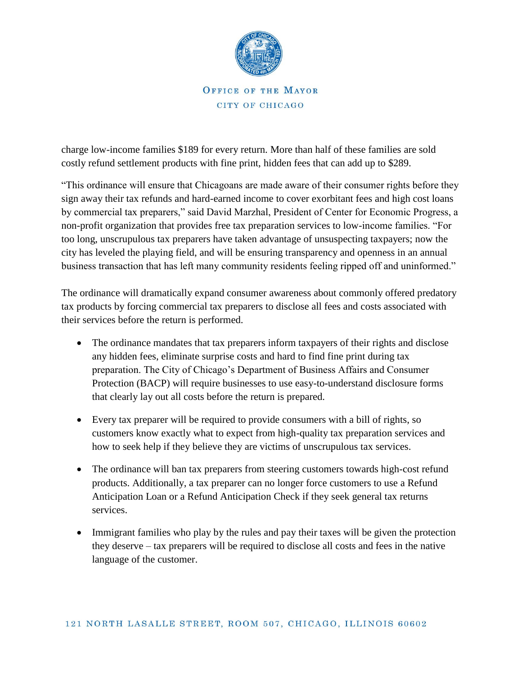

## OFFICE OF THE MAYOR CITY OF CHICAGO

charge low-income families \$189 for every return. More than half of these families are sold costly refund settlement products with fine print, hidden fees that can add up to \$289.

"This ordinance will ensure that Chicagoans are made aware of their consumer rights before they sign away their tax refunds and hard-earned income to cover exorbitant fees and high cost loans by commercial tax preparers," said David Marzhal, President of Center for Economic Progress, a non-profit organization that provides free tax preparation services to low-income families. "For too long, unscrupulous tax preparers have taken advantage of unsuspecting taxpayers; now the city has leveled the playing field, and will be ensuring transparency and openness in an annual business transaction that has left many community residents feeling ripped off and uninformed."

The ordinance will dramatically expand consumer awareness about commonly offered predatory tax products by forcing commercial tax preparers to disclose all fees and costs associated with their services before the return is performed.

- The ordinance mandates that tax preparers inform taxpayers of their rights and disclose any hidden fees, eliminate surprise costs and hard to find fine print during tax preparation. The City of Chicago's Department of Business Affairs and Consumer Protection (BACP) will require businesses to use easy-to-understand disclosure forms that clearly lay out all costs before the return is prepared.
- Every tax preparer will be required to provide consumers with a bill of rights, so customers know exactly what to expect from high-quality tax preparation services and how to seek help if they believe they are victims of unscrupulous tax services.
- The ordinance will ban tax preparers from steering customers towards high-cost refund products. Additionally, a tax preparer can no longer force customers to use a Refund Anticipation Loan or a Refund Anticipation Check if they seek general tax returns services.
- Immigrant families who play by the rules and pay their taxes will be given the protection they deserve – tax preparers will be required to disclose all costs and fees in the native language of the customer.